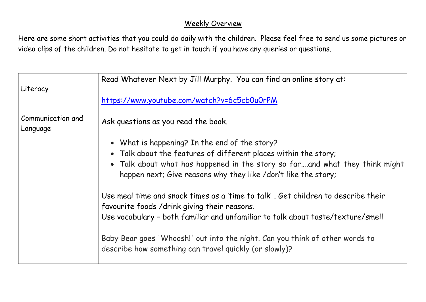## Weekly Overview

Here are some short activities that you could do daily with the children. Please feel free to send us some pictures or video clips of the children. Do not hesitate to get in touch if you have any queries or questions.

|                               | Read Whatever Next by Jill Murphy. You can find an online story at:                                                                           |
|-------------------------------|-----------------------------------------------------------------------------------------------------------------------------------------------|
| Literacy                      |                                                                                                                                               |
|                               | https://www.youtube.com/watch?v=6c5cb0u0rPM                                                                                                   |
| Communication and<br>Language | Ask questions as you read the book.                                                                                                           |
|                               | • What is happening? In the end of the story?                                                                                                 |
|                               | • Talk about the features of different places within the story;                                                                               |
|                               | • Talk about what has happened in the story so farand what they think might<br>happen next; Give reasons why they like /don't like the story; |
|                               | Use meal time and snack times as a 'time to talk', Get children to describe their<br>favourite foods /drink giving their reasons.             |
|                               | Use vocabulary - both familiar and unfamiliar to talk about taste/texture/smell                                                               |
|                               | Baby Bear goes 'Whoosh!' out into the night. Can you think of other words to<br>describe how something can travel quickly (or slowly)?        |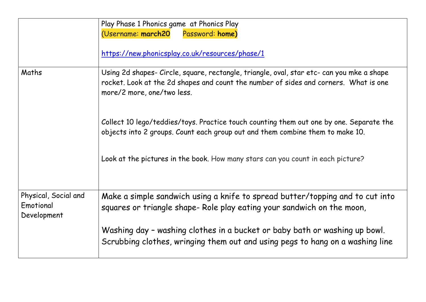|                                                  | Play Phase 1 Phonics game at Phonics Play<br>(Username: march20<br>Password: home)<br>https://new.phonicsplay.co.uk/resources/phase/1                                                                           |
|--------------------------------------------------|-----------------------------------------------------------------------------------------------------------------------------------------------------------------------------------------------------------------|
| Maths                                            | Using 2d shapes- Circle, square, rectangle, triangle, oval, star etc- can you mke a shape<br>rocket. Look at the 2d shapes and count the number of sides and corners. What is one<br>more/2 more, one/two less. |
|                                                  | Collect 10 lego/teddies/toys. Practice touch counting them out one by one. Separate the<br>objects into 2 groups. Count each group out and them combine them to make 10.                                        |
|                                                  | Look at the pictures in the book. How many stars can you count in each picture?                                                                                                                                 |
| Physical, Social and<br>Emotional<br>Development | Make a simple sandwich using a knife to spread butter/topping and to cut into<br>squares or triangle shape- Role play eating your sandwich on the moon,                                                         |
|                                                  | Washing day - washing clothes in a bucket or baby bath or washing up bowl.<br>Scrubbing clothes, wringing them out and using pegs to hang on a washing line                                                     |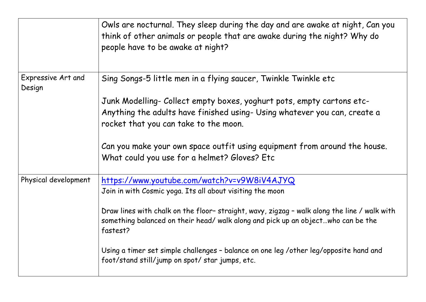|                              | Owls are nocturnal. They sleep during the day and are awake at night, Can you<br>think of other animals or people that are awake during the night? Why do<br>people have to be awake at night? |
|------------------------------|------------------------------------------------------------------------------------------------------------------------------------------------------------------------------------------------|
| Expressive Art and<br>Design | Sing Songs-5 little men in a flying saucer, Twinkle Twinkle etc                                                                                                                                |
|                              | Junk Modelling- Collect empty boxes, yoghurt pots, empty cartons etc-                                                                                                                          |
|                              | Anything the adults have finished using- Using whatever you can, create a<br>rocket that you can take to the moon.                                                                             |
|                              | Can you make your own space outfit using equipment from around the house.<br>What could you use for a helmet? Gloves? Etc                                                                      |
| Physical development         | https://www.youtube.com/watch?v=v9W8iV4AJYQ                                                                                                                                                    |
|                              | Join in with Cosmic yoga. Its all about visiting the moon                                                                                                                                      |
|                              | Draw lines with chalk on the floor-straight, wavy, zigzag - walk along the line / walk with<br>something balanced on their head/ walk along and pick up an objectwho can be the<br>fastest?    |
|                              | Using a timer set simple challenges - balance on one leg /other leg/opposite hand and<br>foot/stand still/jump on spot/ star jumps, etc.                                                       |